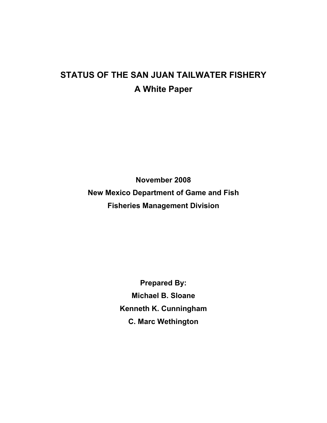# **STATUS OF THE SAN JUAN TAILWATER FISHERY A White Paper**

**November 2008 New Mexico Department of Game and Fish Fisheries Management Division** 

> **Prepared By: Michael B. Sloane Kenneth K. Cunningham C. Marc Wethington**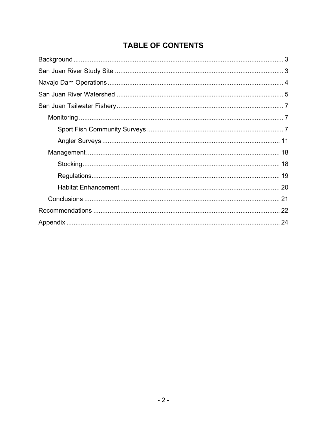## **TABLE OF CONTENTS**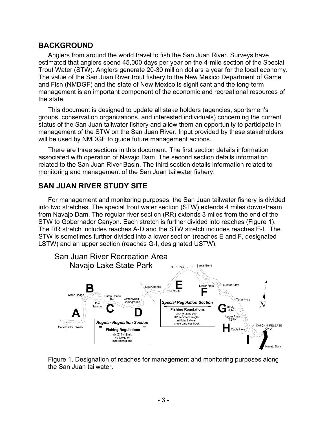### **BACKGROUND**

Anglers from around the world travel to fish the San Juan River. Surveys have estimated that anglers spend 45,000 days per year on the 4-mile section of the Special Trout Water (STW). Anglers generate 20-30 million dollars a year for the local economy. The value of the San Juan River trout fishery to the New Mexico Department of Game and Fish (NMDGF) and the state of New Mexico is significant and the long-term management is an important component of the economic and recreational resources of the state.

This document is designed to update all stake holders (agencies, sportsmen's groups, conservation organizations, and interested individuals) concerning the current status of the San Juan tailwater fishery and allow them an opportunity to participate in management of the STW on the San Juan River. Input provided by these stakeholders will be used by NMDGF to guide future management actions.

There are three sections in this document. The first section details information associated with operation of Navajo Dam. The second section details information related to the San Juan River Basin. The third section details information related to monitoring and management of the San Juan tailwater fishery.

### **SAN JUAN RIVER STUDY SITE**

For management and monitoring purposes, the San Juan tailwater fishery is divided into two stretches. The special trout water section (STW) extends 4 miles downstream from Navajo Dam. The regular river section (RR) extends 3 miles from the end of the STW to Gobernador Canyon. Each stretch is further divided into reaches (Figure 1). The RR stretch includes reaches A-D and the STW stretch includes reaches E-I. The STW is sometimes further divided into a lower section (reaches E and F, designated LSTW) and an upper section (reaches G-I, designated USTW).



Figure 1. Designation of reaches for management and monitoring purposes along the San Juan tailwater.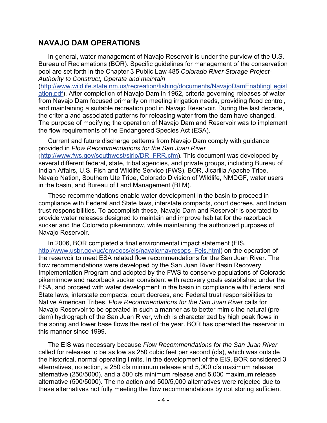### **NAVAJO DAM OPERATIONS**

In general, water management of Navajo Reservoir is under the purview of the U.S. Bureau of Reclamations (BOR). Specific guidelines for management of the conservation pool are set forth in the Chapter 3 Public Law 485 *Colorado River Storage Project-Authority to Construct, Operate and maintain* 

([http://www.wildlife.state.nm.us/recreation/fishing/documents/NavajoDamEnablingLegisl](http://www.wildlife.state.nm.us/recreation/fishing/documents/NavajoDamEnablingLegislation.pdf) [ation.pdf](http://www.wildlife.state.nm.us/recreation/fishing/documents/NavajoDamEnablingLegislation.pdf)). After completion of Navajo Dam in 1962, criteria governing releases of water from Navajo Dam focused primarily on meeting irrigation needs, providing flood control, and maintaining a suitable recreation pool in Navajo Reservoir. During the last decade, the criteria and associated patterns for releasing water from the dam have changed. The purpose of modifying the operation of Navajo Dam and Reservoir was to implement the flow requirements of the Endangered Species Act (ESA).

Current and future discharge patterns from Navajo Dam comply with guidance provided in *Flow Recommendations for the San Juan River* ([http://www.fws.gov/southwest/sjrip/DR\\_FRR.cfm](http://www.fws.gov/southwest/sjrip/DR_FRR.cfm)). This document was developed by several different federal, state, tribal agencies, and private groups, including Bureau of Indian Affairs, U.S. Fish and Wildlife Service (FWS), BOR, Jicarilla Apache Tribe, Navajo Nation, Southern Ute Tribe, Colorado Division of Wildlife, NMDGF, water users in the basin, and Bureau of Land Management (BLM).

These recommendations enable water development in the basin to proceed in compliance with Federal and State laws, interstate compacts, court decrees, and Indian trust responsibilities. To accomplish these, Navajo Dam and Reservoir is operated to provide water releases designed to maintain and improve habitat for the razorback sucker and the Colorado pikeminnow, while maintaining the authorized purposes of Navajo Reservoir.

In 2006, BOR completed a final environmental impact statement (EIS, [http://www.usbr.gov/uc/envdocs/eis/navajo/navresops\\_Feis.html\)](http://www.usbr.gov/uc/envdocs/eis/navajo/navresops_Feis.html) on the operation of the reservoir to meet ESA related flow recommendations for the San Juan River. The flow recommendations were developed by the San Juan River Basin Recovery Implementation Program and adopted by the FWS to conserve populations of Colorado pikeminnow and razorback sucker consistent with recovery goals established under the ESA, and proceed with water development in the basin in compliance with Federal and State laws, interstate compacts, court decrees, and Federal trust responsibilities to Native American Tribes. *Flow Recommendations for the San Juan River* calls for Navajo Reservoir to be operated in such a manner as to better mimic the natural (predam) hydrograph of the San Juan River, which is characterized by high peak flows in the spring and lower base flows the rest of the year. BOR has operated the reservoir in this manner since 1999.

The EIS was necessary because *Flow Recommendations for the San Juan River* called for releases to be as low as 250 cubic feet per second (cfs), which was outside the historical, normal operating limits. In the development of the EIS, BOR considered 3 alternatives, no action, a 250 cfs minimum release and 5,000 cfs maximum release alternative (250/5000), and a 500 cfs minimum release and 5,000 maximum release alternative (500/5000). The no action and 500/5,000 alternatives were rejected due to these alternatives not fully meeting the flow recommendations by not storing sufficient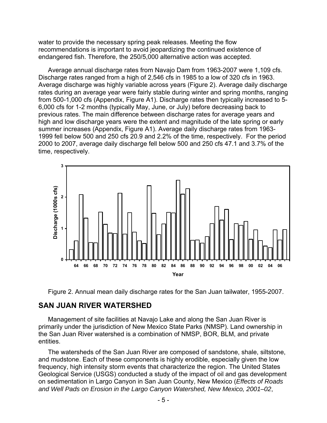water to provide the necessary spring peak releases. Meeting the flow recommendations is important to avoid jeopardizing the continued existence of endangered fish. Therefore, the 250/5,000 alternative action was accepted.

Average annual discharge rates from Navajo Dam from 1963-2007 were 1,109 cfs. Discharge rates ranged from a high of 2,546 cfs in 1985 to a low of 320 cfs in 1963. Average discharge was highly variable across years (Figure 2). Average daily discharge rates during an average year were fairly stable during winter and spring months, ranging from 500-1,000 cfs (Appendix, Figure A1). Discharge rates then typically increased to 5- 6,000 cfs for 1-2 months (typically May, June, or July) before decreasing back to previous rates. The main difference between discharge rates for average years and high and low discharge years were the extent and magnitude of the late spring or early summer increases (Appendix, Figure A1). Average daily discharge rates from 1963- 1999 fell below 500 and 250 cfs 20.9 and 2.2% of the time, respectively. For the period 2000 to 2007, average daily discharge fell below 500 and 250 cfs 47.1 and 3.7% of the time, respectively.



Figure 2. Annual mean daily discharge rates for the San Juan tailwater, 1955-2007.

#### **SAN JUAN RIVER WATERSHED**

Management of site facilities at Navajo Lake and along the San Juan River is primarily under the jurisdiction of New Mexico State Parks (NMSP). Land ownership in the San Juan River watershed is a combination of NMSP, BOR, BLM, and private entities.

The watersheds of the San Juan River are composed of sandstone, shale, siltstone, and mudstone. Each of these components is highly erodible, especially given the low frequency, high intensity storm events that characterize the region. The United States Geological Service (USGS) conducted a study of the impact of oil and gas development on sedimentation in Largo Canyon in San Juan County, New Mexico (*Effects of Roads and Well Pads on Erosion in the Largo Canyon Watershed, New Mexico, 2001–02*,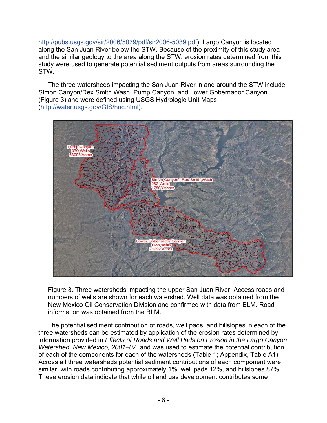[http://pubs.usgs.gov/sir/2006/5039/pdf/sir2006-5039.pdf\)](http://pubs.usgs.gov/sir/2006/5039/pdf/sir2006-5039.pdf). Largo Canyon is located along the San Juan River below the STW. Because of the proximity of this study area and the similar geology to the area along the STW, erosion rates determined from this study were used to generate potential sediment outputs from areas surrounding the STW.

The three watersheds impacting the San Juan River in and around the STW include Simon Canyon/Rex Smith Wash, Pump Canyon, and Lower Gobernador Canyon (Figure 3) and were defined using USGS Hydrologic Unit Maps (<http://water.usgs.gov/GIS/huc.html>).



Figure 3. Three watersheds impacting the upper San Juan River. Access roads and numbers of wells are shown for each watershed. Well data was obtained from the New Mexico Oil Conservation Division and confirmed with data from BLM. Road information was obtained from the BLM.

The potential sediment contribution of roads, well pads, and hillslopes in each of the three watersheds can be estimated by application of the erosion rates determined by information provided in *Effects of Roads and Well Pads on Erosion in the Largo Canyon Watershed, New Mexico, 2001–02,* and was used to estimate the potential contribution of each of the components for each of the watersheds (Table 1; Appendix, Table A1). Across all three watersheds potential sediment contributions of each component were similar, with roads contributing approximately 1%, well pads 12%, and hillslopes 87%. These erosion data indicate that while oil and gas development contributes some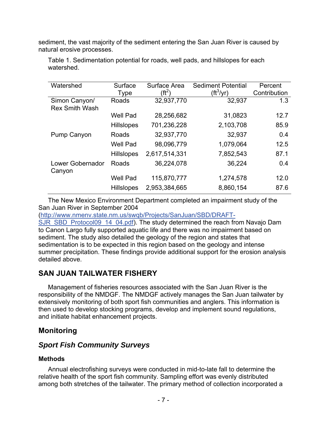sediment, the vast majority of the sediment entering the San Juan River is caused by natural erosive processes.

| Watershed                  | Surface           | Surface Area  | <b>Sediment Potential</b> | Percent      |  |
|----------------------------|-------------------|---------------|---------------------------|--------------|--|
|                            | <b>Type</b>       | (ft $^2$      | (ft <sup>3</sup> /yr)     | Contribution |  |
| Simon Canyon/              | Roads             | 32,937,770    | 32,937                    | 1.3          |  |
| <b>Rex Smith Wash</b>      |                   |               |                           |              |  |
|                            | <b>Well Pad</b>   | 28,256,682    | 31,0823                   | 12.7         |  |
|                            | <b>Hillslopes</b> | 701,236,228   | 2,103,708                 | 85.9         |  |
| Pump Canyon                | Roads             | 32,937,770    | 32,937                    | 0.4          |  |
|                            | <b>Well Pad</b>   | 98,096,779    | 1,079,064                 | 12.5         |  |
|                            | <b>Hillslopes</b> | 2,617,514,331 | 7,852,543                 | 87.1         |  |
| Lower Gobernador<br>Canyon | Roads             | 36,224,078    | 36,224                    | 0.4          |  |
|                            | <b>Well Pad</b>   | 115,870,777   | 1,274,578                 | 12.0         |  |
|                            | <b>Hillslopes</b> | 2,953,384,665 | 8,860,154                 | 87.6         |  |

Table 1. Sedimentation potential for roads, well pads, and hillslopes for each watershed.

The New Mexico Environment Department completed an impairment study of the San Juan River in September 2004

([http://www.nmenv.state.nm.us/swqb/Projects/SanJuan/SBD/DRAFT-](http://www.nmenv.state.nm.us/swqb/Projects/SanJuan/SBD/DRAFT-SJR_SBD_Protocol09_14_04.pdf)

[SJR\\_SBD\\_Protocol09\\_14\\_04.pdf](http://www.nmenv.state.nm.us/swqb/Projects/SanJuan/SBD/DRAFT-SJR_SBD_Protocol09_14_04.pdf)). The study determined the reach from Navajo Dam to Canon Largo fully supported aquatic life and there was no impairment based on sediment. The study also detailed the geology of the region and states that sedimentation is to be expected in this region based on the geology and intense summer precipitation. These findings provide additional support for the erosion analysis detailed above.

### **SAN JUAN TAILWATER FISHERY**

Management of fisheries resources associated with the San Juan River is the responsibility of the NMDGF. The NMDGF actively manages the San Juan tailwater by extensively monitoring of both sport fish communities and anglers. This information is then used to develop stocking programs, develop and implement sound regulations, and initiate habitat enhancement projects.

### **Monitoring**

### *Sport Fish Community Surveys*

#### **Methods**

Annual electrofishing surveys were conducted in mid-to-late fall to determine the relative health of the sport fish community. Sampling effort was evenly distributed among both stretches of the tailwater. The primary method of collection incorporated a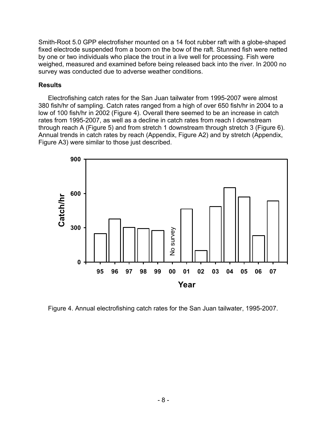Smith-Root 5.0 GPP electrofisher mounted on a 14 foot rubber raft with a globe-shaped fixed electrode suspended from a boom on the bow of the raft. Stunned fish were netted by one or two individuals who place the trout in a live well for processing. Fish were weighed, measured and examined before being released back into the river. In 2000 no survey was conducted due to adverse weather conditions.

#### **Results**

Electrofishing catch rates for the San Juan tailwater from 1995-2007 were almost 380 fish/hr of sampling. Catch rates ranged from a high of over 650 fish/hr in 2004 to a low of 100 fish/hr in 2002 (Figure 4). Overall there seemed to be an increase in catch rates from 1995-2007, as well as a decline in catch rates from reach I downstream through reach A (Figure 5) and from stretch 1 downstream through stretch 3 (Figure 6). Annual trends in catch rates by reach (Appendix, Figure A2) and by stretch (Appendix, Figure A3) were similar to those just described.



Figure 4. Annual electrofishing catch rates for the San Juan tailwater, 1995-2007.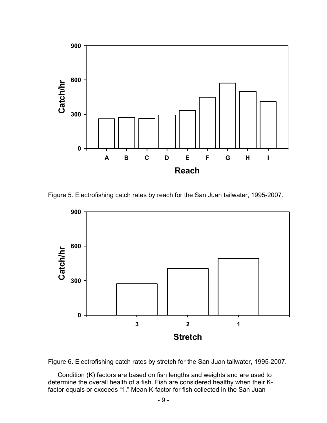

Figure 5. Electrofishing catch rates by reach for the San Juan tailwater, 1995-2007.





Condition (K) factors are based on fish lengths and weights and are used to determine the overall health of a fish. Fish are considered healthy when their Kfactor equals or exceeds "1." Mean K-factor for fish collected in the San Juan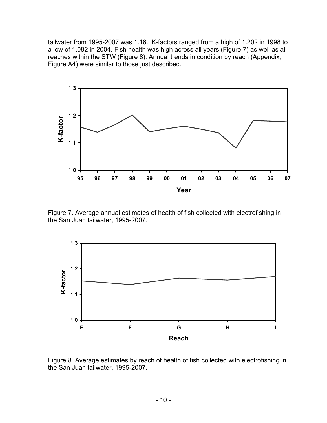tailwater from 1995-2007 was 1.16. K-factors ranged from a high of 1.202 in 1998 to a low of 1.082 in 2004. Fish health was high across all years (Figure 7) as well as all reaches within the STW (Figure 8). Annual trends in condition by reach (Appendix, Figure A4) were similar to those just described.



Figure 7. Average annual estimates of health of fish collected with electrofishing in the San Juan tailwater, 1995-2007.



Figure 8. Average estimates by reach of health of fish collected with electrofishing in the San Juan tailwater, 1995-2007.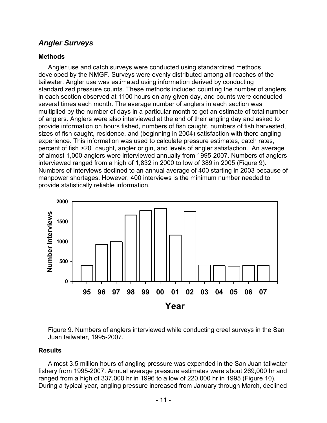### *Angler Surveys*

#### **Methods**

Angler use and catch surveys were conducted using standardized methods developed by the NMGF. Surveys were evenly distributed among all reaches of the tailwater. Angler use was estimated using information derived by conducting standardized pressure counts. These methods included counting the number of anglers in each section observed at 1100 hours on any given day, and counts were conducted several times each month. The average number of anglers in each section was multiplied by the number of days in a particular month to get an estimate of total number of anglers. Anglers were also interviewed at the end of their angling day and asked to provide information on hours fished, numbers of fish caught, numbers of fish harvested, sizes of fish caught, residence, and (beginning in 2004) satisfaction with there angling experience. This information was used to calculate pressure estimates, catch rates, percent of fish >20" caught, angler origin, and levels of angler satisfaction. An average of almost 1,000 anglers were interviewed annually from 1995-2007. Numbers of anglers interviewed ranged from a high of 1,832 in 2000 to low of 389 in 2005 (Figure 9). Numbers of interviews declined to an annual average of 400 starting in 2003 because of manpower shortages. However, 400 interviews is the minimum number needed to provide statistically reliable information.



Figure 9. Numbers of anglers interviewed while conducting creel surveys in the San Juan tailwater, 1995-2007.

#### **Results**

 Almost 3.5 million hours of angling pressure was expended in the San Juan tailwater fishery from 1995-2007. Annual average pressure estimates were about 269,000 hr and ranged from a high of 337,000 hr in 1996 to a low of 220,000 hr in 1995 (Figure 10). During a typical year, angling pressure increased from January through March, declined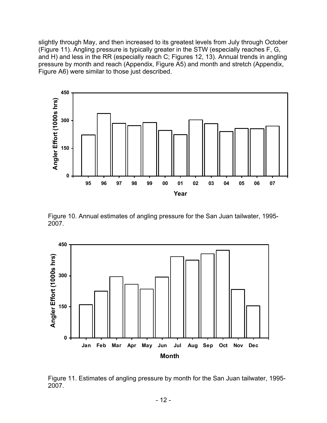slightly through May, and then increased to its greatest levels from July through October (Figure 11). Angling pressure is typically greater in the STW (especially reaches F, G, and H) and less in the RR (especially reach C; Figures 12, 13). Annual trends in angling pressure by month and reach (Appendix, Figure A5) and month and stretch (Appendix, Figure A6) were similar to those just described.



Figure 10. Annual estimates of angling pressure for the San Juan tailwater, 1995- 2007.



Figure 11. Estimates of angling pressure by month for the San Juan tailwater, 1995- 2007.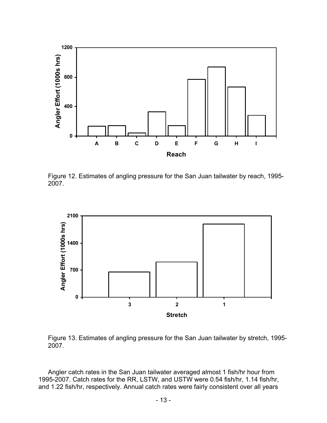

Figure 12. Estimates of angling pressure for the San Juan tailwater by reach, 1995- 2007.



Figure 13. Estimates of angling pressure for the San Juan tailwater by stretch, 1995- 2007.

 Angler catch rates in the San Juan tailwater averaged almost 1 fish/hr hour from 1995-2007. Catch rates for the RR, LSTW, and USTW were 0.54 fish/hr, 1.14 fish/hr, and 1.22 fish/hr, respectively. Annual catch rates were fairly consistent over all years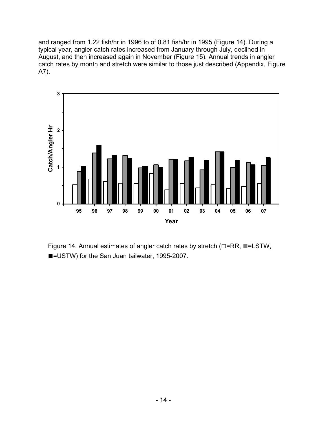and ranged from 1.22 fish/hr in 1996 to of 0.81 fish/hr in 1995 (Figure 14). During a typical year, angler catch rates increased from January through July, declined in August, and then increased again in November (Figure 15). Annual trends in angler catch rates by month and stretch were similar to those just described (Appendix, Figure A7).



Figure 14. Annual estimates of angler catch rates by stretch (**□**=RR, ■=LSTW, ■=USTW) for the San Juan tailwater, 1995-2007.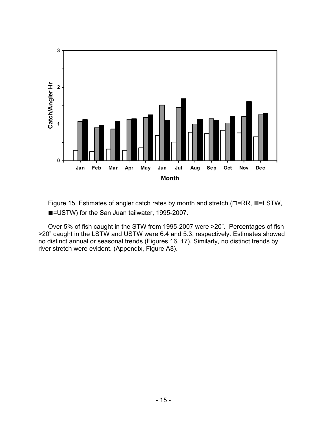

Figure 15. Estimates of angler catch rates by month and stretch (**□**=RR, ■=LSTW, ■=USTW) for the San Juan tailwater, 1995-2007.

Over 5% of fish caught in the STW from 1995-2007 were >20". Percentages of fish >20" caught in the LSTW and USTW were 6.4 and 5.3, respectively. Estimates showed no distinct annual or seasonal trends (Figures 16, 17). Similarly, no distinct trends by river stretch were evident. (Appendix, Figure A8).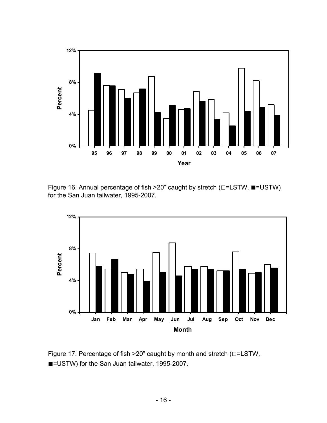

Figure 16. Annual percentage of fish >20" caught by stretch (**□**=LSTW, ■=USTW) for the San Juan tailwater, 1995-2007.



Figure 17. Percentage of fish >20" caught by month and stretch (**□**=LSTW, ■=USTW) for the San Juan tailwater, 1995-2007.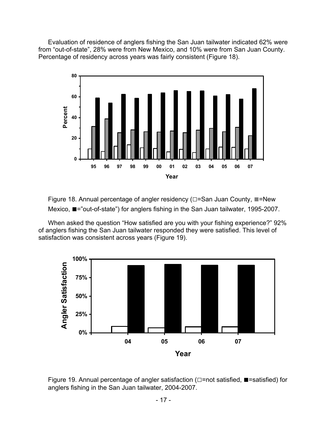Evaluation of residence of anglers fishing the San Juan tailwater indicated 62% were from "out-of-state", 28% were from New Mexico, and 10% were from San Juan County. Percentage of residency across years was fairly consistent (Figure 18).



Figure 18. Annual percentage of angler residency (**□**=San Juan County, ■=New Mexico, ■="out-of-state") for anglers fishing in the San Juan tailwater, 1995-2007.

When asked the question "How satisfied are you with your fishing experience?" 92% of anglers fishing the San Juan tailwater responded they were satisfied. This level of satisfaction was consistent across years (Figure 19).



Figure 19. Annual percentage of angler satisfaction (**□**=not satisfied, ■=satisfied) for anglers fishing in the San Juan tailwater, 2004-2007.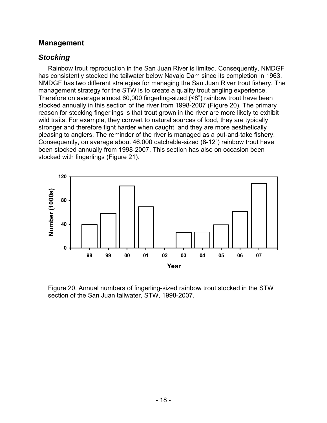#### **Management**

### *Stocking*

 Rainbow trout reproduction in the San Juan River is limited. Consequently, NMDGF has consistently stocked the tailwater below Navajo Dam since its completion in 1963. NMDGF has two different strategies for managing the San Juan River trout fishery. The management strategy for the STW is to create a quality trout angling experience. Therefore on average almost 60,000 fingerling-sized (<8") rainbow trout have been stocked annually in this section of the river from 1998-2007 (Figure 20). The primary reason for stocking fingerlings is that trout grown in the river are more likely to exhibit wild traits. For example, they convert to natural sources of food, they are typically stronger and therefore fight harder when caught, and they are more aesthetically pleasing to anglers. The reminder of the river is managed as a put-and-take fishery. Consequently, on average about 46,000 catchable-sized (8-12") rainbow trout have been stocked annually from 1998-2007. This section has also on occasion been stocked with fingerlings (Figure 21).



Figure 20. Annual numbers of fingerling-sized rainbow trout stocked in the STW section of the San Juan tailwater, STW, 1998-2007.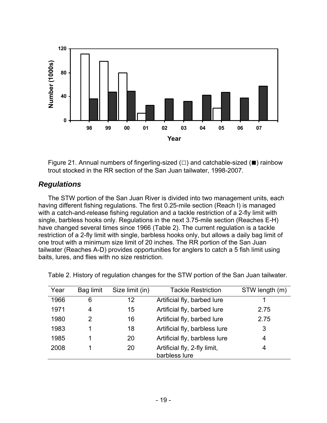

Figure 21. Annual numbers of fingerling-sized  $(\square)$  and catchable-sized ( $\blacksquare$ ) rainbow trout stocked in the RR section of the San Juan tailwater, 1998-2007.

### *Regulations*

The STW portion of the San Juan River is divided into two management units, each having different fishing regulations. The first 0.25-mile section (Reach I) is managed with a catch-and-release fishing regulation and a tackle restriction of a 2-fly limit with single, barbless hooks only. Regulations in the next 3.75-mile section (Reaches E-H) have changed several times since 1966 (Table 2). The current regulation is a tackle restriction of a 2-fly limit with single, barbless hooks only, but allows a daily bag limit of one trout with a minimum size limit of 20 inches. The RR portion of the San Juan tailwater (Reaches A-D) provides opportunities for anglers to catch a 5 fish limit using baits, lures, and flies with no size restriction.

| Year | Bag limit | Size limit (in) | <b>Tackle Restriction</b>                     | STW length (m) |
|------|-----------|-----------------|-----------------------------------------------|----------------|
| 1966 | 6         | 12              | Artificial fly, barbed lure                   |                |
| 1971 | 4         | 15              | Artificial fly, barbed lure                   | 2.75           |
| 1980 | 2         | 16              | Artificial fly, barbed lure                   | 2.75           |
| 1983 |           | 18              | Artificial fly, barbless lure                 | 3              |
| 1985 |           | 20              | Artificial fly, barbless lure                 | 4              |
| 2008 |           | 20              | Artificial fly, 2-fly limit,<br>barbless lure | 4              |

Table 2. History of regulation changes for the STW portion of the San Juan tailwater.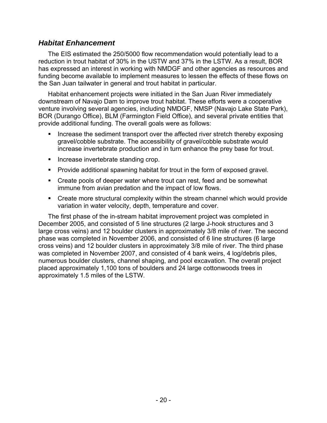### *Habitat Enhancement*

The EIS estimated the 250/5000 flow recommendation would potentially lead to a reduction in trout habitat of 30% in the USTW and 37% in the LSTW. As a result, BOR has expressed an interest in working with NMDGF and other agencies as resources and funding become available to implement measures to lessen the effects of these flows on the San Juan tailwater in general and trout habitat in particular.

Habitat enhancement projects were initiated in the San Juan River immediately downstream of Navajo Dam to improve trout habitat. These efforts were a cooperative venture involving several agencies, including NMDGF, NMSP (Navajo Lake State Park), BOR (Durango Office), BLM (Farmington Field Office), and several private entities that provide additional funding. The overall goals were as follows:

- Increase the sediment transport over the affected river stretch thereby exposing gravel/cobble substrate. The accessibility of gravel/cobble substrate would increase invertebrate production and in turn enhance the prey base for trout.
- **Increase invertebrate standing crop.**
- **Provide additional spawning habitat for trout in the form of exposed gravel.**
- **Create pools of deeper water where trout can rest, feed and be somewhat** immune from avian predation and the impact of low flows.
- Create more structural complexity within the stream channel which would provide variation in water velocity, depth, temperature and cover.

The first phase of the in-stream habitat improvement project was completed in December 2005, and consisted of 5 line structures (2 large J-hook structures and 3 large cross veins) and 12 boulder clusters in approximately 3/8 mile of river. The second phase was completed in November 2006, and consisted of 6 line structures (6 large cross veins) and 12 boulder clusters in approximately 3/8 mile of river. The third phase was completed in November 2007, and consisted of 4 bank weirs, 4 log/debris piles, numerous boulder clusters, channel shaping, and pool excavation. The overall project placed approximately 1,100 tons of boulders and 24 large cottonwoods trees in approximately 1.5 miles of the LSTW.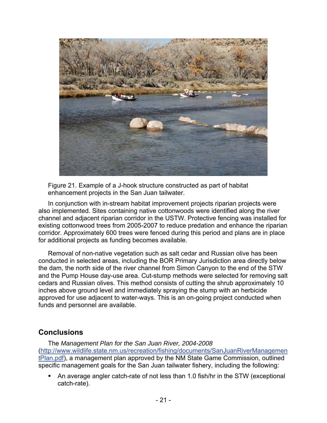

Figure 21. Example of a J-hook structure constructed as part of habitat enhancement projects in the San Juan tailwater.

In conjunction with in-stream habitat improvement projects riparian projects were also implemented. Sites containing native cottonwoods were identified along the river channel and adjacent riparian corridor in the USTW. Protective fencing was installed for existing cottonwood trees from 2005-2007 to reduce predation and enhance the riparian corridor. Approximately 600 trees were fenced during this period and plans are in place for additional projects as funding becomes available.

Removal of non-native vegetation such as salt cedar and Russian olive has been conducted in selected areas, including the BOR Primary Jurisdiction area directly below the dam, the north side of the river channel from Simon Canyon to the end of the STW and the Pump House day-use area. Cut-stump methods were selected for removing salt cedars and Russian olives. This method consists of cutting the shrub approximately 10 inches above ground level and immediately spraying the stump with an herbicide approved for use adjacent to water-ways. This is an on-going project conducted when funds and personnel are available.

### **Conclusions**

The *Management Plan for the San Juan River, 2004-2008* ([http://www.wildlife.state.nm.us/recreation/fishing/documents/SanJuanRiverManagemen](http://www.wildlife.state.nm.us/recreation/fishing/documents/SanJuanRiverManagementPlan.pdf) [tPlan.pdf](http://www.wildlife.state.nm.us/recreation/fishing/documents/SanJuanRiverManagementPlan.pdf)), a management plan approved by the NM State Game Commission, outlined specific management goals for the San Juan tailwater fishery, including the following:

 An average angler catch-rate of not less than 1.0 fish/hr in the STW (exceptional catch-rate).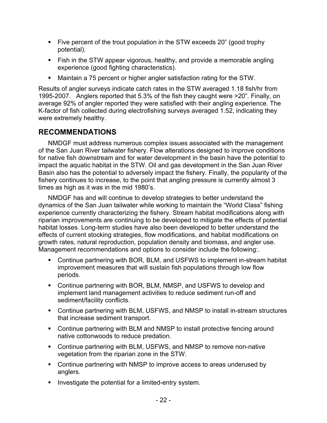- Five percent of the trout population in the STW exceeds 20" (good trophy potential).
- **Fish in the STW appear vigorous, healthy, and provide a memorable angling** experience (good fighting characteristics).
- Maintain a 75 percent or higher angler satisfaction rating for the STW.

Results of angler surveys indicate catch rates in the STW averaged 1.18 fish/hr from 1995-2007. Anglers reported that 5.3% of the fish they caught were >20". Finally, on average 92% of angler reported they were satisfied with their angling experience. The K-factor of fish collected during electrofishing surveys averaged 1.52, indicating they were extremely healthy.

### **RECOMMENDATIONS**

NMDGF must address numerous complex issues associated with the management of the San Juan River tailwater fishery. Flow alterations designed to improve conditions for native fish downstream and for water development in the basin have the potential to impact the aquatic habitat in the STW. Oil and gas development in the San Juan River Basin also has the potential to adversely impact the fishery. Finally, the popularity of the fishery continues to increase, to the point that angling pressure is currently almost 3 times as high as it was in the mid 1980's.

NMDGF has and will continue to develop strategies to better understand the dynamics of the San Juan tailwater while working to maintain the "World Class" fishing experience currently characterizing the fishery. Stream habitat modifications along with riparian improvements are continuing to be developed to mitigate the effects of potential habitat losses. Long-term studies have also been developed to better understand the effects of current stocking strategies, flow modifications, and habitat modifications on growth rates, natural reproduction, population density and biomass, and angler use. Management recommendations and options to consider include the following:.

- Continue partnering with BOR, BLM, and USFWS to implement in-stream habitat improvement measures that will sustain fish populations through low flow periods.
- Continue partnering with BOR, BLM, NMSP, and USFWS to develop and implement land management activities to reduce sediment run-off and sediment/facility conflicts.
- Continue partnering with BLM, USFWS, and NMSP to install in-stream structures that increase sediment transport.
- Continue partnering with BLM and NMSP to install protective fencing around native cottonwoods to reduce predation.
- Continue partnering with BLM, USFWS, and NMSP to remove non-native vegetation from the riparian zone in the STW.
- Continue partnering with NMSP to improve access to areas underused by anglers.
- **Investigate the potential for a limited-entry system.**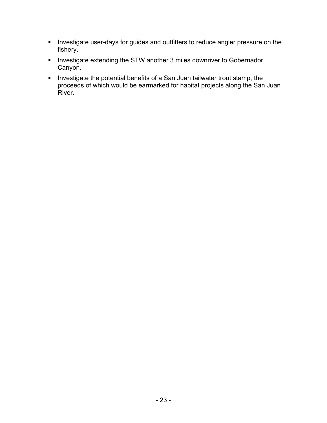- **Investigate user-days for guides and outfitters to reduce angler pressure on the** fishery.
- **Investigate extending the STW another 3 miles downriver to Gobernador** Canyon.
- Investigate the potential benefits of a San Juan tailwater trout stamp, the proceeds of which would be earmarked for habitat projects along the San Juan River.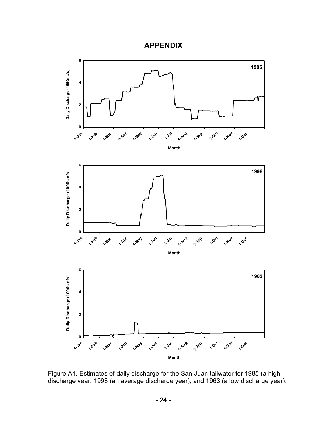



Figure A1. Estimates of daily discharge for the San Juan tailwater for 1985 (a high discharge year, 1998 (an average discharge year), and 1963 (a low discharge year).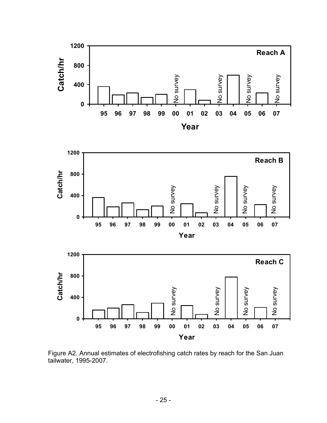





Figure A2. Annual estimates of electrofishing catch rates by reach for the San Juan tailwater, 1995-2007.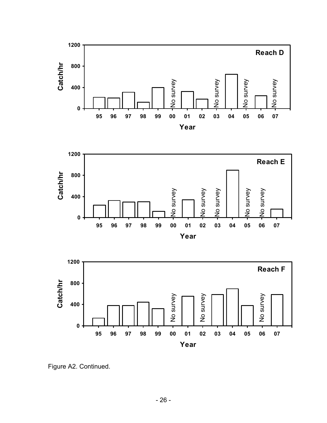





Figure A2. Continued.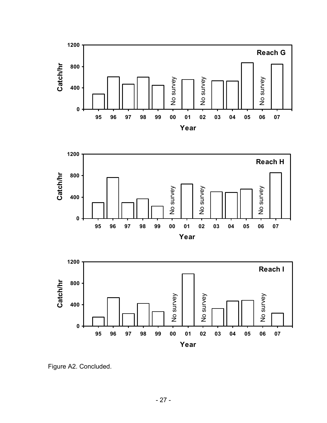





Figure A2. Concluded.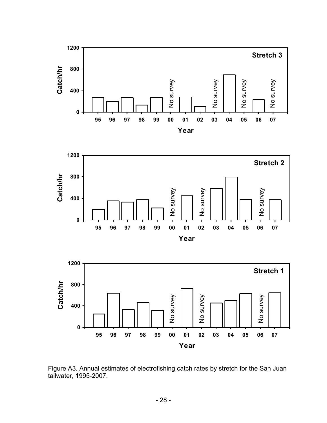





Figure A3. Annual estimates of electrofishing catch rates by stretch for the San Juan tailwater, 1995-2007.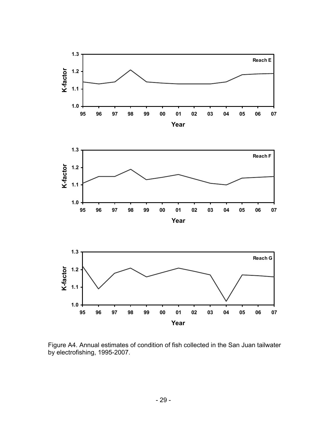

Figure A4. Annual estimates of condition of fish collected in the San Juan tailwater by electrofishing, 1995-2007.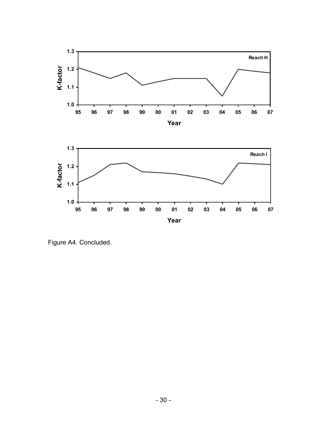

Figure A4. Concluded.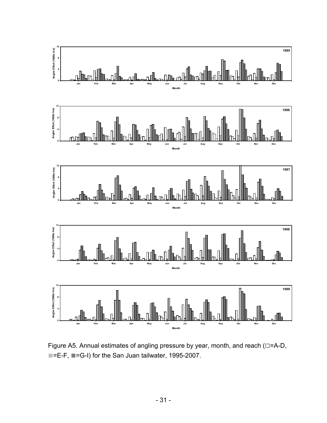

Figure A5. Annual estimates of angling pressure by year, month, and reach (**□**=A-D, ■=E-F, ■=G-I) for the San Juan tailwater, 1995-2007.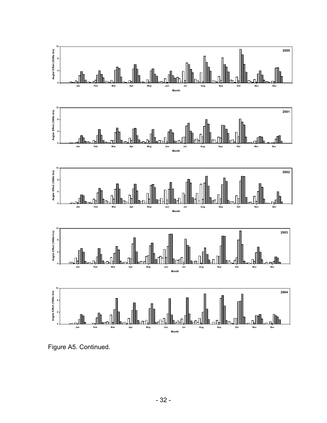

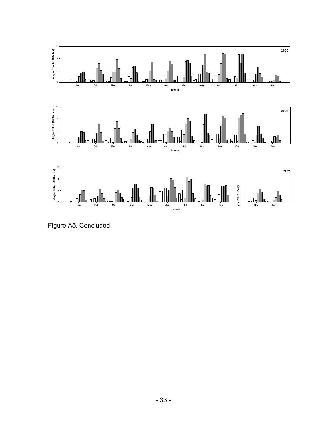

Figure A5. Concluded.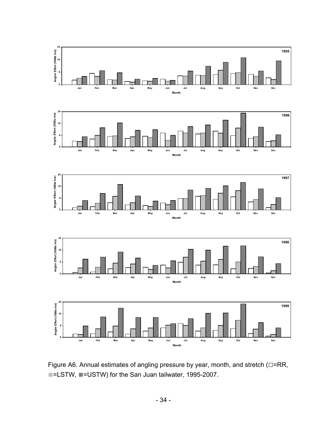









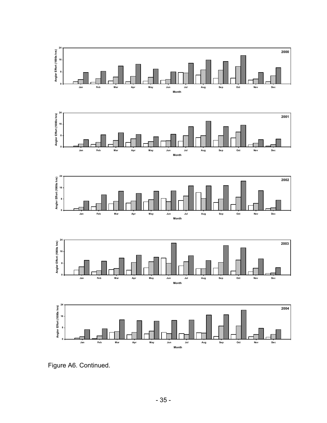









Figure A6. Continued.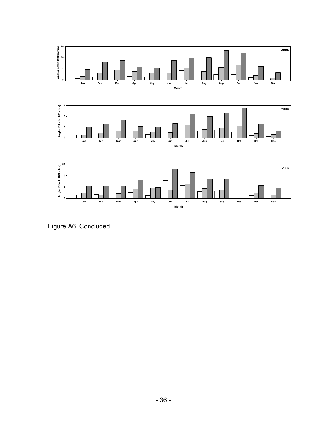

Figure A6. Concluded.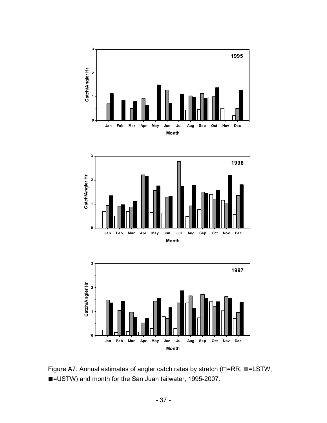





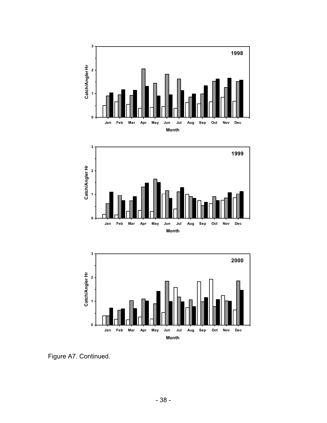





Figure A7. Continued.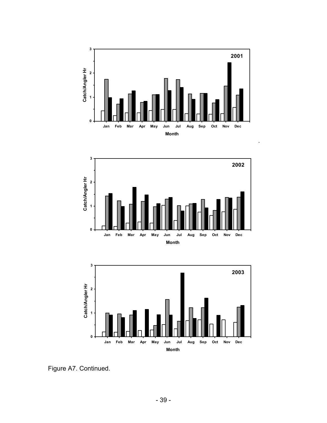

.





Figure A7. Continued.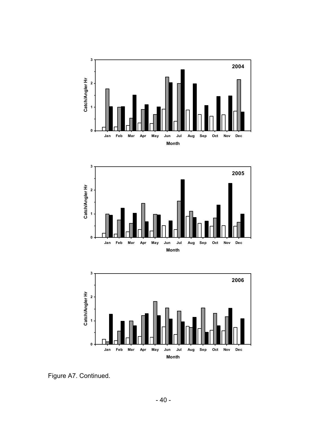





Figure A7. Continued.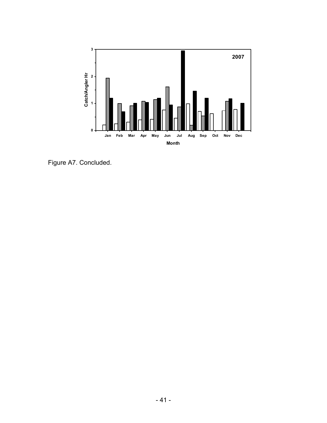

Figure A7. Concluded.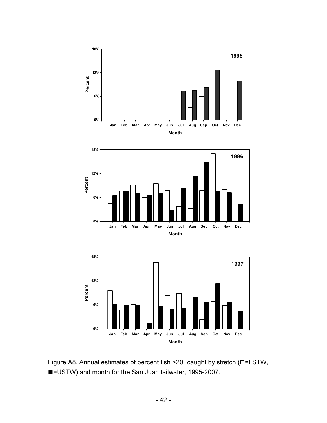





**0%**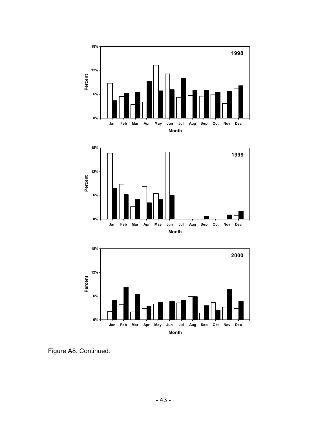





Figure A8. Continued.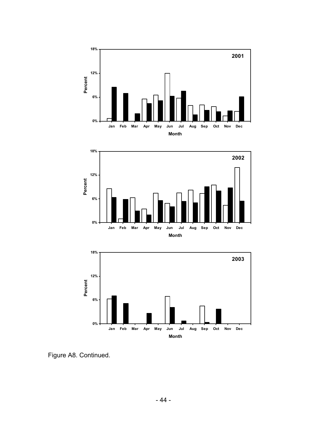





Figure A8. Continued.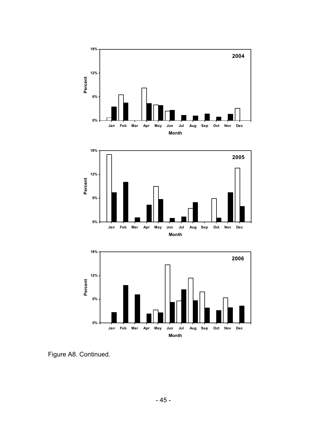





Figure A8. Continued.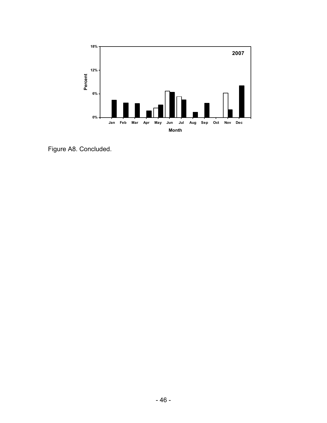

Figure A8. Concluded.